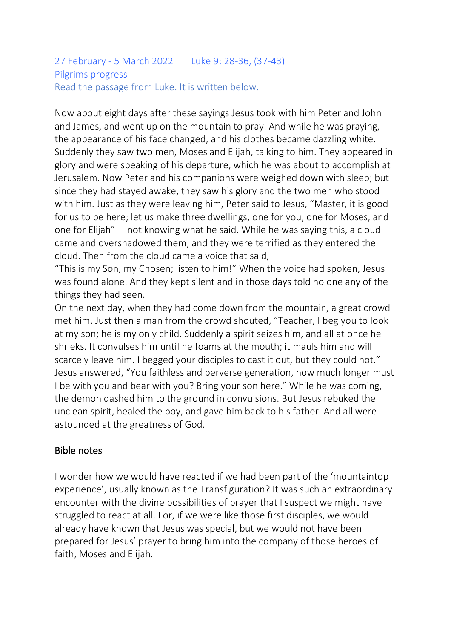### 27 February - 5 March 2022 Luke 9: 28-36, (37-43) Pilgrims progress Read the passage from Luke. It is written below.

Now about eight days after these sayings Jesus took with him Peter and John and James, and went up on the mountain to pray. And while he was praying, the appearance of his face changed, and his clothes became dazzling white. Suddenly they saw two men, Moses and Elijah, talking to him. They appeared in glory and were speaking of his departure, which he was about to accomplish at Jerusalem. Now Peter and his companions were weighed down with sleep; but since they had stayed awake, they saw his glory and the two men who stood with him. Just as they were leaving him, Peter said to Jesus, "Master, it is good for us to be here; let us make three dwellings, one for you, one for Moses, and one for Elijah"— not knowing what he said. While he was saying this, a cloud came and overshadowed them; and they were terrified as they entered the cloud. Then from the cloud came a voice that said,

"This is my Son, my Chosen; listen to him!" When the voice had spoken, Jesus was found alone. And they kept silent and in those days told no one any of the things they had seen.

On the next day, when they had come down from the mountain, a great crowd met him. Just then a man from the crowd shouted, "Teacher, I beg you to look at my son; he is my only child. Suddenly a spirit seizes him, and all at once he shrieks. It convulses him until he foams at the mouth; it mauls him and will scarcely leave him. I begged your disciples to cast it out, but they could not." Jesus answered, "You faithless and perverse generation, how much longer must I be with you and bear with you? Bring your son here." While he was coming, the demon dashed him to the ground in convulsions. But Jesus rebuked the unclean spirit, healed the boy, and gave him back to his father. And all were astounded at the greatness of God.

## Bible notes

I wonder how we would have reacted if we had been part of the 'mountaintop experience', usually known as the Transfiguration? It was such an extraordinary encounter with the divine possibilities of prayer that I suspect we might have struggled to react at all. For, if we were like those first disciples, we would already have known that Jesus was special, but we would not have been prepared for Jesus' prayer to bring him into the company of those heroes of faith, Moses and Elijah.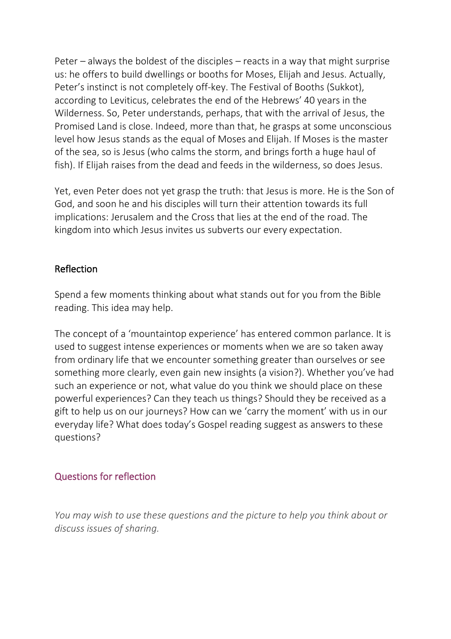Peter – always the boldest of the disciples – reacts in a way that might surprise us: he offers to build dwellings or booths for Moses, Elijah and Jesus. Actually, Peter's instinct is not completely off-key. The Festival of Booths (Sukkot), according to Leviticus, celebrates the end of the Hebrews' 40 years in the Wilderness. So, Peter understands, perhaps, that with the arrival of Jesus, the Promised Land is close. Indeed, more than that, he grasps at some unconscious level how Jesus stands as the equal of Moses and Elijah. If Moses is the master of the sea, so is Jesus (who calms the storm, and brings forth a huge haul of fish). If Elijah raises from the dead and feeds in the wilderness, so does Jesus.

Yet, even Peter does not yet grasp the truth: that Jesus is more. He is the Son of God, and soon he and his disciples will turn their attention towards its full implications: Jerusalem and the Cross that lies at the end of the road. The kingdom into which Jesus invites us subverts our every expectation.

## Reflection

Spend a few moments thinking about what stands out for you from the Bible reading. This idea may help.

The concept of a 'mountaintop experience' has entered common parlance. It is used to suggest intense experiences or moments when we are so taken away from ordinary life that we encounter something greater than ourselves or see something more clearly, even gain new insights (a vision?). Whether you've had such an experience or not, what value do you think we should place on these powerful experiences? Can they teach us things? Should they be received as a gift to help us on our journeys? How can we 'carry the moment' with us in our everyday life? What does today's Gospel reading suggest as answers to these questions?

## Questions for reflection

*You may wish to use these questions and the picture to help you think about or discuss issues of sharing.*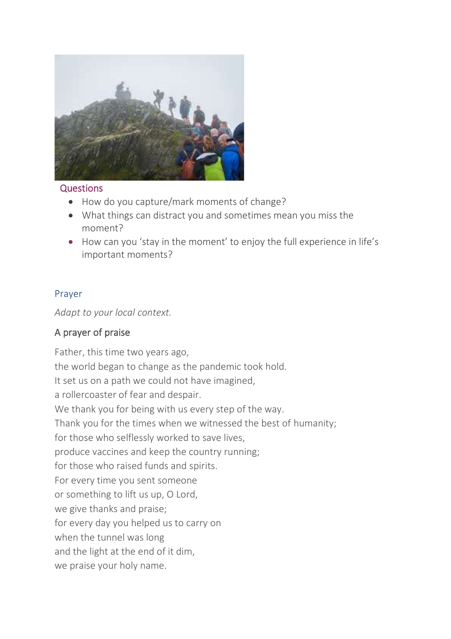

#### **Questions**

- How do you capture/mark moments of change?
- What things can distract you and sometimes mean you miss the moment?
- How can you 'stay in the moment' to enjoy the full experience in life's important moments?

#### Prayer

*Adapt to your local context.*

## A prayer of praise

Father, this time two years ago, the world began to change as the pandemic took hold. It set us on a path we could not have imagined, a rollercoaster of fear and despair. We thank you for being with us every step of the way. Thank you for the times when we witnessed the best of humanity; for those who selflessly worked to save lives, produce vaccines and keep the country running; for those who raised funds and spirits. For every time you sent someone or something to lift us up, O Lord, we give thanks and praise; for every day you helped us to carry on when the tunnel was long and the light at the end of it dim, we praise your holy name.